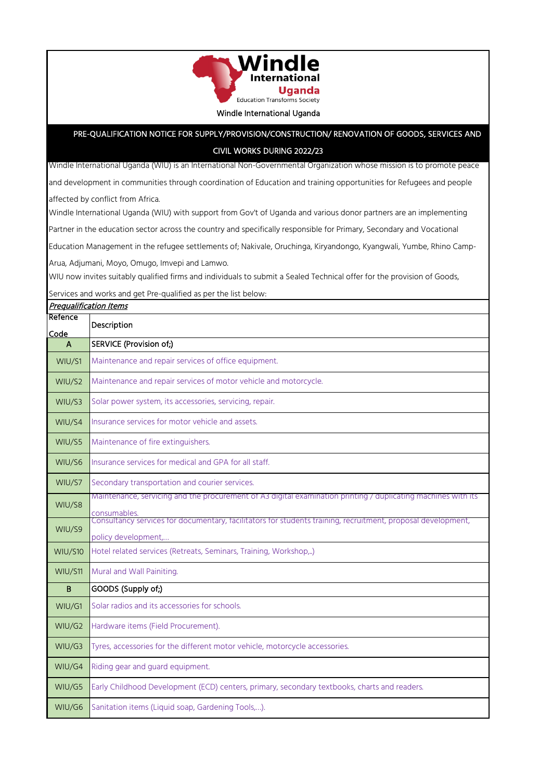

## PRE-QUALIFICATION NOTICE FOR SUPPLY/PROVISION/CONSTRUCTION/ RENOVATION OF GOODS, SERVICES AND

## CIVIL WORKS DURING 2022/23

Windle International Uganda (WIU) is an International Non-Governmental Organization whose mission is to promote peace

and development in communities through coordination of Education and training opportunities for Refugees and people

affected by conflict from Africa.

Windle International Uganda (WIU) with support from Gov't of Uganda and various donor partners are an implementing

Partner in the education sector across the country and specifically responsible for Primary, Secondary and Vocational

Education Management in the refugee settlements of; Nakivale, Oruchinga, Kiryandongo, Kyangwali, Yumbe, Rhino Camp-

Arua, Adjumani, Moyo, Omugo, Imvepi and Lamwo.

WIU now invites suitably qualified firms and individuals to submit a Sealed Technical offer for the provision of Goods,

Services and works and get Pre-qualified as per the list below:

| <b>Prequalification Items</b> |                                                                                                                                                     |
|-------------------------------|-----------------------------------------------------------------------------------------------------------------------------------------------------|
| Refence<br>Code               | Description                                                                                                                                         |
| A                             | SERVICE (Provision of;)                                                                                                                             |
| WIU/S1                        | Maintenance and repair services of office equipment.                                                                                                |
| WIU/S2                        | Maintenance and repair services of motor vehicle and motorcycle.                                                                                    |
| WIU/S3                        | Solar power system, its accessories, servicing, repair.                                                                                             |
| WIU/S4                        | Insurance services for motor vehicle and assets.                                                                                                    |
| WIU/S5                        | Maintenance of fire extinguishers.                                                                                                                  |
| WIU/S6                        | Insurance services for medical and GPA for all staff.                                                                                               |
| WIU/S7                        | Secondary transportation and courier services.                                                                                                      |
| WIU/S8                        | Maintenance, servicing and the procurement of A3 digital examination printing / duplicating machines with its                                       |
| WIU/S9                        | consumables.<br>Consultancy services for documentary, facilitators for students training, recruitment, proposal development,<br>policy development, |
| <b>WIU/S10</b>                | Hotel related services (Retreats, Seminars, Training, Workshop,)                                                                                    |
| WIU/S11                       | Mural and Wall Painiting.                                                                                                                           |
| B                             | GOODS (Supply of;)                                                                                                                                  |
| WIU/G1                        | Solar radios and its accessories for schools.                                                                                                       |
| WIU/G2                        | Hardware items (Field Procurement).                                                                                                                 |
| WIU/G3                        | Tyres, accessories for the different motor vehicle, motorcycle accessories.                                                                         |
| WIU/G4                        | Riding gear and guard equipment.                                                                                                                    |
| WIU/G5                        | Early Childhood Development (ECD) centers, primary, secondary textbooks, charts and readers.                                                        |
| WIU/G6                        | Sanitation items (Liquid soap, Gardening Tools,).                                                                                                   |